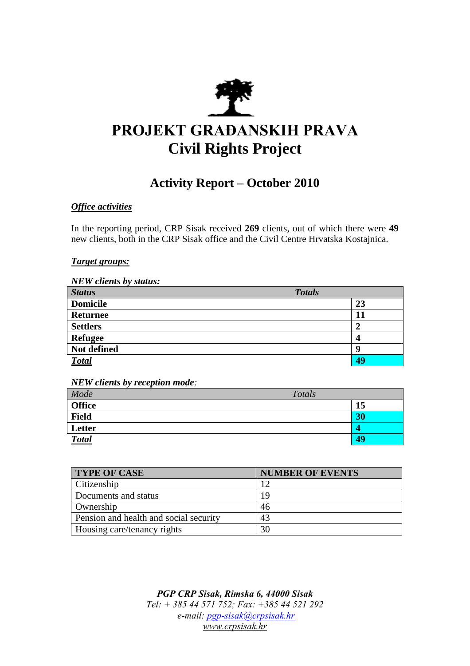

# **PROJEKT GRAĐANSKIH PRAVA Civil Rights Project**

# **Activity Report – October 2010**

## *Office activities*

In the reporting period, CRP Sisak received **269** clients, out of which there were **49** new clients, both in the CRP Sisak office and the Civil Centre Hrvatska Kostajnica.

#### *Target groups:*

*NEW clients by status:*

| <b>Status</b>   | <b>Totals</b> |    |
|-----------------|---------------|----|
| <b>Domicile</b> |               | 23 |
| <b>Returnee</b> |               | 11 |
| <b>Settlers</b> |               |    |
| <b>Refugee</b>  |               | 4  |
| Not defined     |               | Q  |
| <b>Total</b>    |               | 49 |

*NEW clients by reception mode:*

| Mode          | Totals |    |
|---------------|--------|----|
| <b>Office</b> |        | 15 |
| <b>Field</b>  |        | 30 |
| Letter        |        | 4  |
| <b>Total</b>  |        | 49 |

| <b>TYPE OF CASE</b>                    | <b>NUMBER OF EVENTS</b> |
|----------------------------------------|-------------------------|
| Citizenship                            | 12                      |
| Documents and status                   | 19                      |
| Ownership                              | 46                      |
| Pension and health and social security | 43                      |
| Housing care/tenancy rights            | 30                      |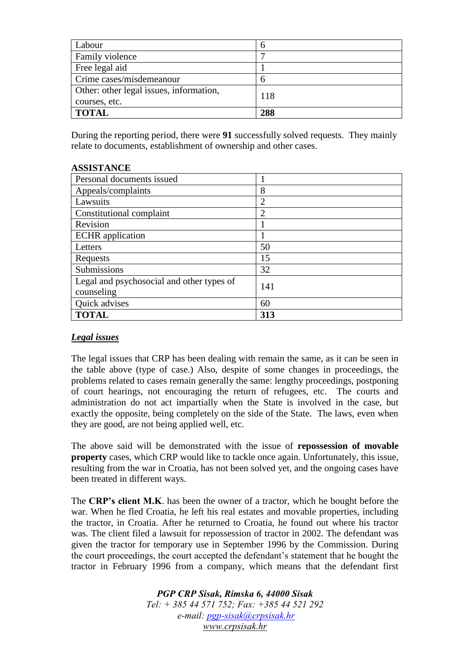| Labour                                                   |     |
|----------------------------------------------------------|-----|
| Family violence                                          |     |
| Free legal aid                                           |     |
| Crime cases/misdemeanour                                 |     |
| Other: other legal issues, information,<br>courses, etc. | 118 |
| <b>TOTAL</b>                                             | 288 |

During the reporting period, there were **91** successfully solved requests. They mainly relate to documents, establishment of ownership and other cases.

#### **ASSISTANCE**

| Personal documents issued                 |                |
|-------------------------------------------|----------------|
| Appeals/complaints                        | 8              |
| Lawsuits                                  | $\overline{2}$ |
| Constitutional complaint                  | 2              |
| Revision                                  |                |
| <b>ECHR</b> application                   |                |
| Letters                                   | 50             |
| Requests                                  | 15             |
| Submissions                               | 32             |
| Legal and psychosocial and other types of | 141            |
| counseling                                |                |
| Quick advises                             | 60             |
| <b>TOTAL</b>                              | 313            |

### *Legal issues*

The legal issues that CRP has been dealing with remain the same, as it can be seen in the table above (type of case.) Also, despite of some changes in proceedings, the problems related to cases remain generally the same: lengthy proceedings, postponing of court hearings, not encouraging the return of refugees, etc. The courts and administration do not act impartially when the State is involved in the case, but exactly the opposite, being completely on the side of the State. The laws, even when they are good, are not being applied well, etc.

The above said will be demonstrated with the issue of **repossession of movable property** cases, which CRP would like to tackle once again. Unfortunately, this issue, resulting from the war in Croatia, has not been solved yet, and the ongoing cases have been treated in different ways.

The **CRP's client M.K**. has been the owner of a tractor, which he bought before the war. When he fled Croatia, he left his real estates and movable properties, including the tractor, in Croatia. After he returned to Croatia, he found out where his tractor was. The client filed a lawsuit for repossession of tractor in 2002. The defendant was given the tractor for temporary use in September 1996 by the Commission. During the court proceedings, the court accepted the defendant's statement that he bought the tractor in February 1996 from a company, which means that the defendant first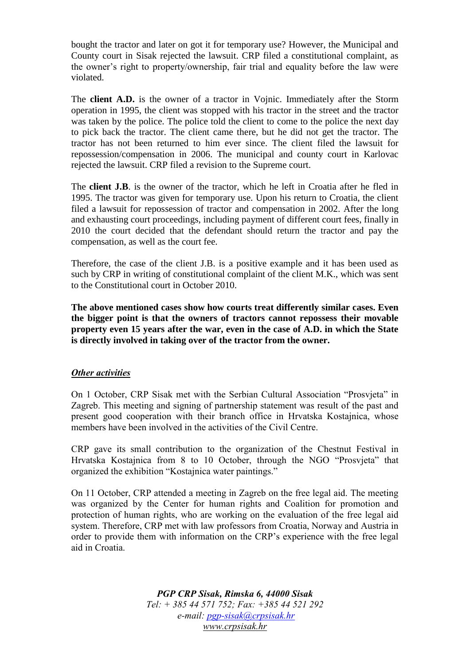bought the tractor and later on got it for temporary use? However, the Municipal and County court in Sisak rejected the lawsuit. CRP filed a constitutional complaint, as the owner's right to property/ownership, fair trial and equality before the law were violated.

The **client A.D.** is the owner of a tractor in Vojnic. Immediately after the Storm operation in 1995, the client was stopped with his tractor in the street and the tractor was taken by the police. The police told the client to come to the police the next day to pick back the tractor. The client came there, but he did not get the tractor. The tractor has not been returned to him ever since. The client filed the lawsuit for repossession/compensation in 2006. The municipal and county court in Karlovac rejected the lawsuit. CRP filed a revision to the Supreme court.

The **client J.B**. is the owner of the tractor, which he left in Croatia after he fled in 1995. The tractor was given for temporary use. Upon his return to Croatia, the client filed a lawsuit for repossession of tractor and compensation in 2002. After the long and exhausting court proceedings, including payment of different court fees, finally in 2010 the court decided that the defendant should return the tractor and pay the compensation, as well as the court fee.

Therefore, the case of the client J.B. is a positive example and it has been used as such by CRP in writing of constitutional complaint of the client M.K., which was sent to the Constitutional court in October 2010.

**The above mentioned cases show how courts treat differently similar cases. Even the bigger point is that the owners of tractors cannot repossess their movable property even 15 years after the war, even in the case of A.D. in which the State is directly involved in taking over of the tractor from the owner.** 

#### *Other activities*

On 1 October, CRP Sisak met with the Serbian Cultural Association "Prosvjeta" in Zagreb. This meeting and signing of partnership statement was result of the past and present good cooperation with their branch office in Hrvatska Kostajnica, whose members have been involved in the activities of the Civil Centre.

CRP gave its small contribution to the organization of the Chestnut Festival in Hrvatska Kostajnica from 8 to 10 October, through the NGO "Prosvjeta" that organized the exhibition "Kostajnica water paintings."

On 11 October, CRP attended a meeting in Zagreb on the free legal aid. The meeting was organized by the Center for human rights and Coalition for promotion and protection of human rights, who are working on the evaluation of the free legal aid system. Therefore, CRP met with law professors from Croatia, Norway and Austria in order to provide them with information on the CRP's experience with the free legal aid in Croatia.